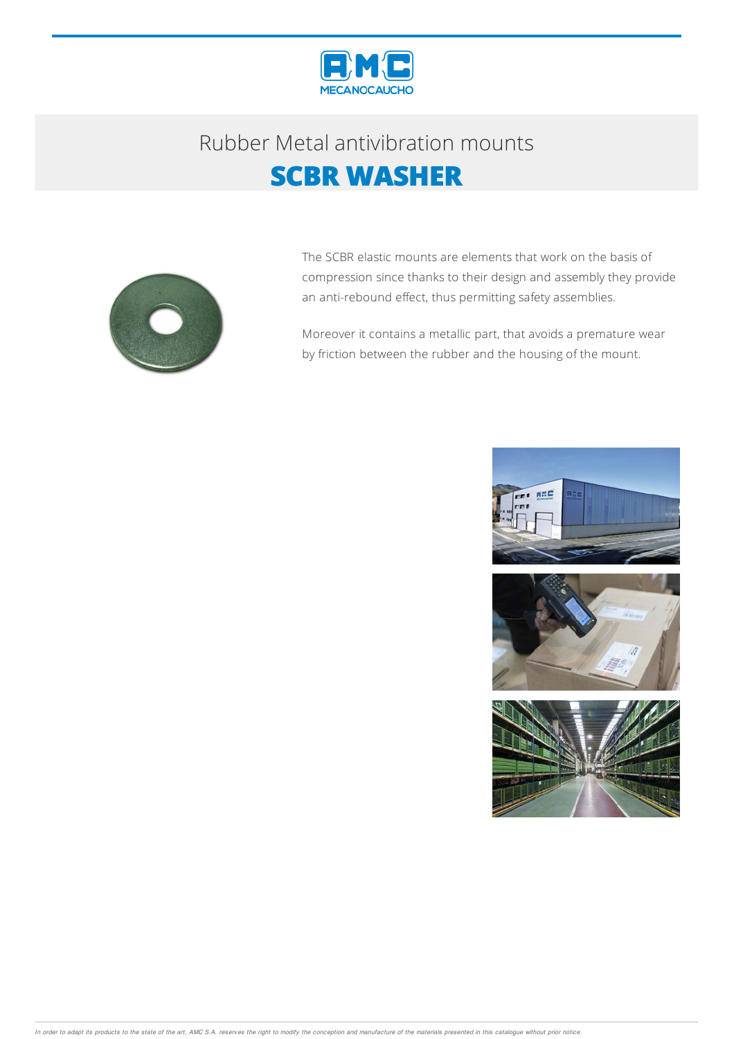

## Rubber Metalantivibration mounts **SCBR WASHER**



The SCBR elastic mounts are elements that work on the basis of compression since thanks to their design and assembly they provide an anti-rebound effect, thus permitting safety assemblies.

Moreover it contains a metallic part, that avoids a premature wear by friction between the rubber and the housing of the mount.



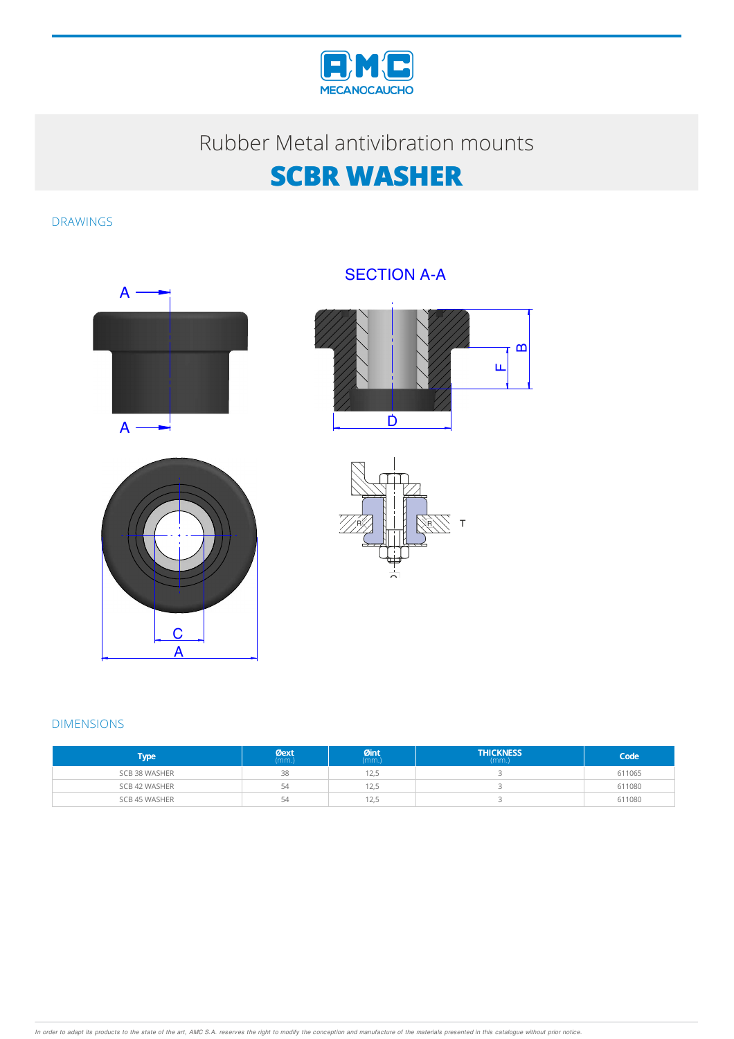

## Rubber Metal antivibration mounts

## **SCBR WASHER**

DRAWINGS



### SECTION A-A







#### DIMENSIONS

| l'ype :       | Øext<br>(mm.) | $Qint_{(mm.)}$ | <b>THICKNESS</b><br>(mm.) | Code   |
|---------------|---------------|----------------|---------------------------|--------|
| SCB 38 WASHER | 38            | 12,5           |                           | 611065 |
| SCB 42 WASHER | 54            | 12,5           |                           | 611080 |
| SCB 45 WASHER | 54            | 12,5           |                           | 611080 |